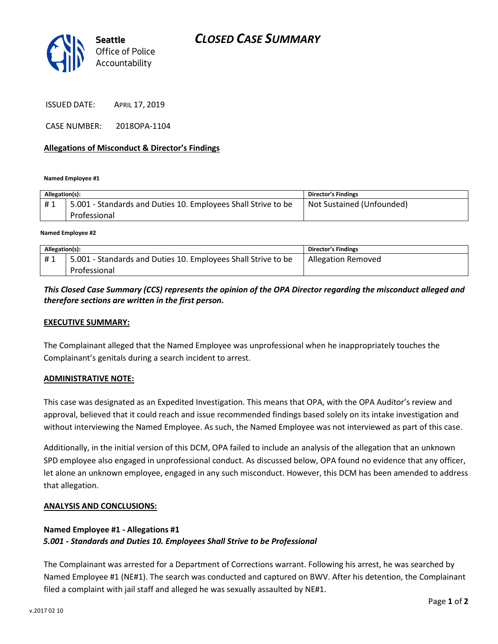

ISSUED DATE: APRIL 17, 2019

CASE NUMBER: 2018OPA-1104

## **Allegations of Misconduct & Director's Findings**

**Named Employee #1**

| Allegation(s): |                                                                               | <b>Director's Findings</b> |
|----------------|-------------------------------------------------------------------------------|----------------------------|
| #1             | 5.001 - Standards and Duties 10. Employees Shall Strive to be<br>Professional | Not Sustained (Unfounded)  |
|                |                                                                               |                            |

**Named Employee #2**

| Allegation(s): |                                                               | Director's Findings       |
|----------------|---------------------------------------------------------------|---------------------------|
| #1             | 5.001 - Standards and Duties 10. Employees Shall Strive to be | <b>Allegation Removed</b> |
|                | Professional                                                  |                           |

# *This Closed Case Summary (CCS) represents the opinion of the OPA Director regarding the misconduct alleged and therefore sections are written in the first person.*

## **EXECUTIVE SUMMARY:**

The Complainant alleged that the Named Employee was unprofessional when he inappropriately touches the Complainant's genitals during a search incident to arrest.

#### **ADMINISTRATIVE NOTE:**

This case was designated as an Expedited Investigation. This means that OPA, with the OPA Auditor's review and approval, believed that it could reach and issue recommended findings based solely on its intake investigation and without interviewing the Named Employee. As such, the Named Employee was not interviewed as part of this case.

Additionally, in the initial version of this DCM, OPA failed to include an analysis of the allegation that an unknown SPD employee also engaged in unprofessional conduct. As discussed below, OPA found no evidence that any officer, let alone an unknown employee, engaged in any such misconduct. However, this DCM has been amended to address that allegation.

#### **ANALYSIS AND CONCLUSIONS:**

# **Named Employee #1 - Allegations #1** *5.001 - Standards and Duties 10. Employees Shall Strive to be Professional*

The Complainant was arrested for a Department of Corrections warrant. Following his arrest, he was searched by Named Employee #1 (NE#1). The search was conducted and captured on BWV. After his detention, the Complainant filed a complaint with jail staff and alleged he was sexually assaulted by NE#1.